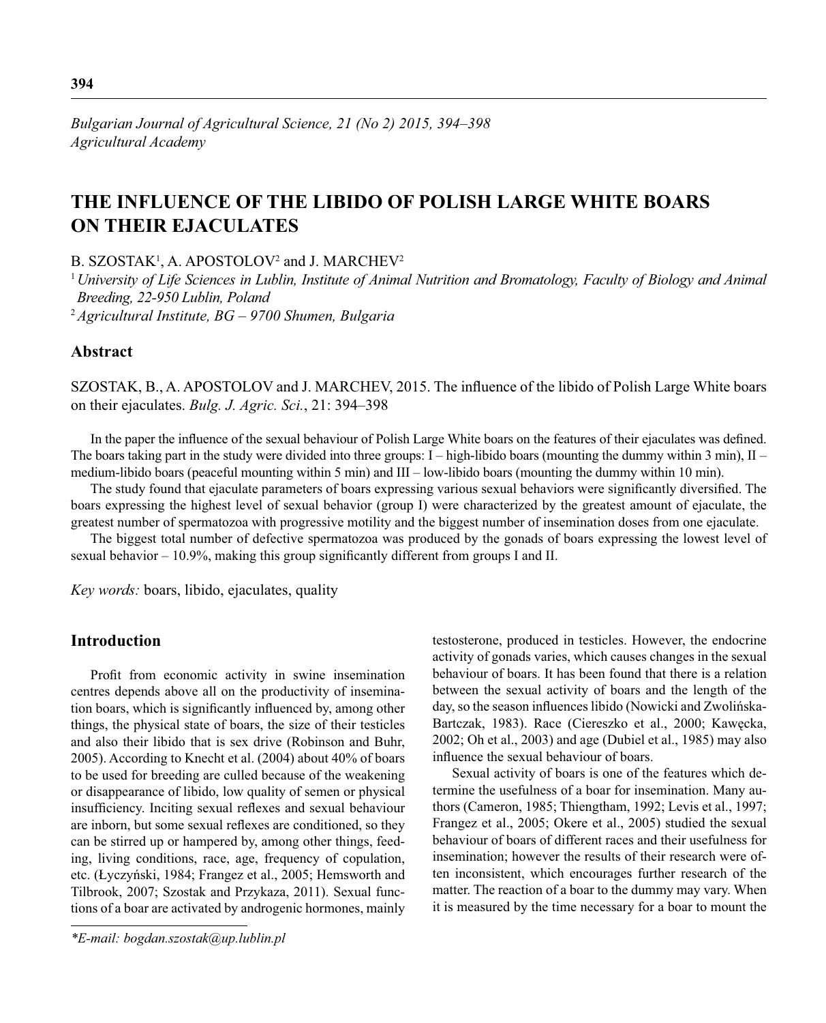# **THE INFLUENCE OF THE LIBIDO OF POLISH LARGE WHITE BOARS ON THEIR EJACULATES**

B. SZOSTAK<sup>1</sup>, A. APOSTOLOV<sup>2</sup> and J. MARCHEV<sup>2</sup>

<sup>1</sup>*University of Life Sciences in Lublin, Institute of Animal Nutrition and Bromatology, Faculty of Biology and Animal Breeding, 22-950 Lublin, Poland* <sup>2</sup>*Agricultural Institute, BG – 9700 Shumen, Bulgaria*

## **Abstract**

SZOSTAK, B., A. APOSTOLOV and J. MARCHEV, 2015. The influence of the libido of Polish Large White boars on their ejaculates. *Bulg. J. Agric. Sci.*, 21: 394–398

In the paper the influence of the sexual behaviour of Polish Large White boars on the features of their ejaculates was defined. The boars taking part in the study were divided into three groups:  $I - high-libido boars$  (mounting the dummy within 3 min),  $II$ medium-libido boars (peaceful mounting within 5 min) and III – low-libido boars (mounting the dummy within 10 min).

The study found that ejaculate parameters of boars expressing various sexual behaviors were significantly diversified. The boars expressing the highest level of sexual behavior (group I) were characterized by the greatest amount of ejaculate, the greatest number of spermatozoa with progressive motility and the biggest number of insemination doses from one ejaculate.

The biggest total number of defective spermatozoa was produced by the gonads of boars expressing the lowest level of sexual behavior  $-10.9\%$ , making this group significantly different from groups I and II.

*Key words:* boars, libido, ejaculates, quality

## **Introduction**

Profit from economic activity in swine insemination centres depends above all on the productivity of insemination boars, which is significantly influenced by, among other things, the physical state of boars, the size of their testicles and also their libido that is sex drive (Robinson and Buhr, 2005). According to Knecht et al. (2004) about 40% of boars to be used for breeding are culled because of the weakening or disappearance of libido, low quality of semen or physical insufficiency. Inciting sexual reflexes and sexual behaviour are inborn, but some sexual reflexes are conditioned, so they can be stirred up or hampered by, among other things, feeding, living conditions, race, age, frequency of copulation, etc. (Łyczyński, 1984; Frangez et al., 2005; Hemsworth and Tilbrook, 2007; Szostak and Przykaza, 2011). Sexual functions of a boar are activated by androgenic hormones, mainly

*\*E-mail: bogdan.szostak@up.lublin.pl*

testosterone, produced in testicles. However, the endocrine activity of gonads varies, which causes changes in the sexual behaviour of boars. It has been found that there is a relation between the sexual activity of boars and the length of the day, so the season influences libido (Nowicki and Zwolińska-Bartczak, 1983). Race (Ciereszko et al., 2000; Kawęcka, 2002; Oh et al., 2003) and age (Dubiel et al., 1985) may also influence the sexual behaviour of boars.

Sexual activity of boars is one of the features which determine the usefulness of a boar for insemination. Many authors (Cameron, 1985; Thiengtham, 1992; Levis et al., 1997; Frangez et al., 2005; Okere et al., 2005) studied the sexual behaviour of boars of different races and their usefulness for insemination; however the results of their research were often inconsistent, which encourages further research of the matter. The reaction of a boar to the dummy may vary. When it is measured by the time necessary for a boar to mount the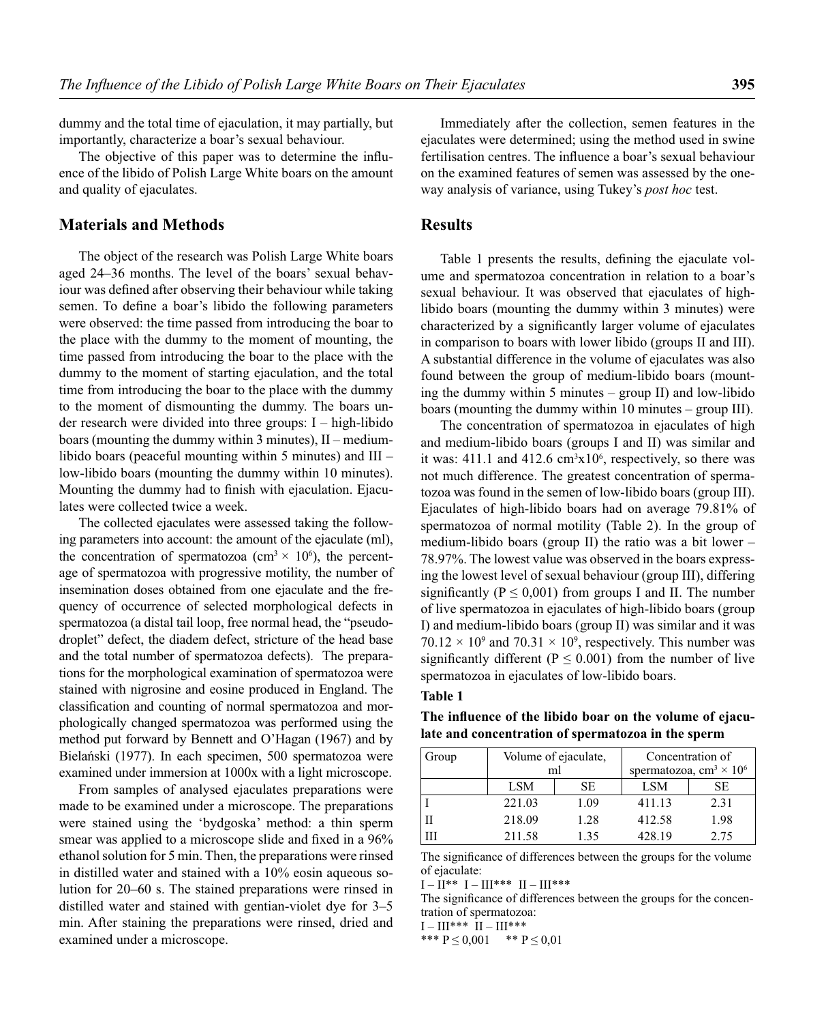dummy and the total time of ejaculation, it may partially, but importantly, characterize a boar's sexual behaviour.

The objective of this paper was to determine the influence of the libido of Polish Large White boars on the amount and quality of ejaculates.

## **Materials and Methods**

The object of the research was Polish Large White boars aged 24–36 months. The level of the boars' sexual behaviour was defined after observing their behaviour while taking semen. To define a boar's libido the following parameters were observed: the time passed from introducing the boar to the place with the dummy to the moment of mounting, the time passed from introducing the boar to the place with the dummy to the moment of starting ejaculation, and the total time from introducing the boar to the place with the dummy to the moment of dismounting the dummy. The boars under research were divided into three groups: I – high-libido boars (mounting the dummy within 3 minutes), II – mediumlibido boars (peaceful mounting within 5 minutes) and III – low-libido boars (mounting the dummy within 10 minutes). Mounting the dummy had to finish with ejaculation. Ejaculates were collected twice a week.

The collected ejaculates were assessed taking the following parameters into account: the amount of the ejaculate (ml), the concentration of spermatozoa (cm<sup>3</sup>  $\times$  10<sup>6</sup>), the percentage of spermatozoa with progressive motility, the number of insemination doses obtained from one ejaculate and the frequency of occurrence of selected morphological defects in spermatozoa (a distal tail loop, free normal head, the "pseudodroplet" defect, the diadem defect, stricture of the head base and the total number of spermatozoa defects). The preparations for the morphological examination of spermatozoa were stained with nigrosine and eosine produced in England. The classification and counting of normal spermatozoa and morphologically changed spermatozoa was performed using the method put forward by Bennett and O'Hagan (1967) and by Bielański (1977). In each specimen, 500 spermatozoa were examined under immersion at 1000x with a light microscope.

From samples of analysed ejaculates preparations were made to be examined under a microscope. The preparations were stained using the 'bydgoska' method: a thin sperm smear was applied to a microscope slide and fixed in a 96% ethanol solution for 5 min. Then, the preparations were rinsed in distilled water and stained with a 10% eosin aqueous solution for 20–60 s. The stained preparations were rinsed in distilled water and stained with gentian-violet dye for 3–5 min. After staining the preparations were rinsed, dried and examined under a microscope.

Immediately after the collection, semen features in the ejaculates were determined; using the method used in swine fertilisation centres. The influence a boar's sexual behaviour on the examined features of semen was assessed by the oneway analysis of variance, using Tukey's *post hoc* test.

## **Results**

Table 1 presents the results, defining the ejaculate volume and spermatozoa concentration in relation to a boar's sexual behaviour. It was observed that ejaculates of highlibido boars (mounting the dummy within 3 minutes) were characterized by a significantly larger volume of ejaculates in comparison to boars with lower libido (groups II and III). A substantial difference in the volume of ejaculates was also found between the group of medium-libido boars (mounting the dummy within 5 minutes – group II) and low-libido boars (mounting the dummy within 10 minutes – group III).

The concentration of spermatozoa in ejaculates of high and medium-libido boars (groups I and II) was similar and it was:  $411.1$  and  $412.6$  cm<sup>3</sup> $x10<sup>6</sup>$ , respectively, so there was not much difference. The greatest concentration of spermatozoa was found in the semen of low-libido boars (group III). Ejaculates of high-libido boars had on average 79.81% of spermatozoa of normal motility (Table 2). In the group of medium-libido boars (group II) the ratio was a bit lower – 78.97%. The lowest value was observed in the boars expressing the lowest level of sexual behaviour (group III), differing significantly ( $P \le 0,001$ ) from groups I and II. The number of live spermatozoa in ejaculates of high-libido boars (group I) and medium-libido boars (group II) was similar and it was  $70.12 \times 10^9$  and  $70.31 \times 10^9$ , respectively. This number was significantly different ( $P \le 0.001$ ) from the number of live spermatozoa in ejaculates of low-libido boars.

#### **Table 1**

| Group | ml     | Volume of ejaculate, | Concentration of<br>spermatozoa, cm <sup>3</sup> × 10 <sup>6</sup> |      |  |
|-------|--------|----------------------|--------------------------------------------------------------------|------|--|
|       | LSM    | SЕ                   | LSM                                                                | SЕ   |  |
|       | 221.03 | 1.09                 | 411.13                                                             | 2.31 |  |
|       | 218.09 | 1.28                 | 412.58                                                             | 1.98 |  |
|       | 211.58 | 1.35                 | 428.19                                                             | 2.75 |  |

The influence of the libido boar on the volume of ejacu**late and concentration of spermatozoa in the sperm**

The significance of differences between the groups for the volume of ejaculate:

 $I - II^{***}$  I – III\*\*\* II – III\*\*\*

The significance of differences between the groups for the concentration of spermatozoa:

 $I - III***$  II – III\*\*\*

\*\*\*  $P \le 0.001$  \*\*  $P \le 0.01$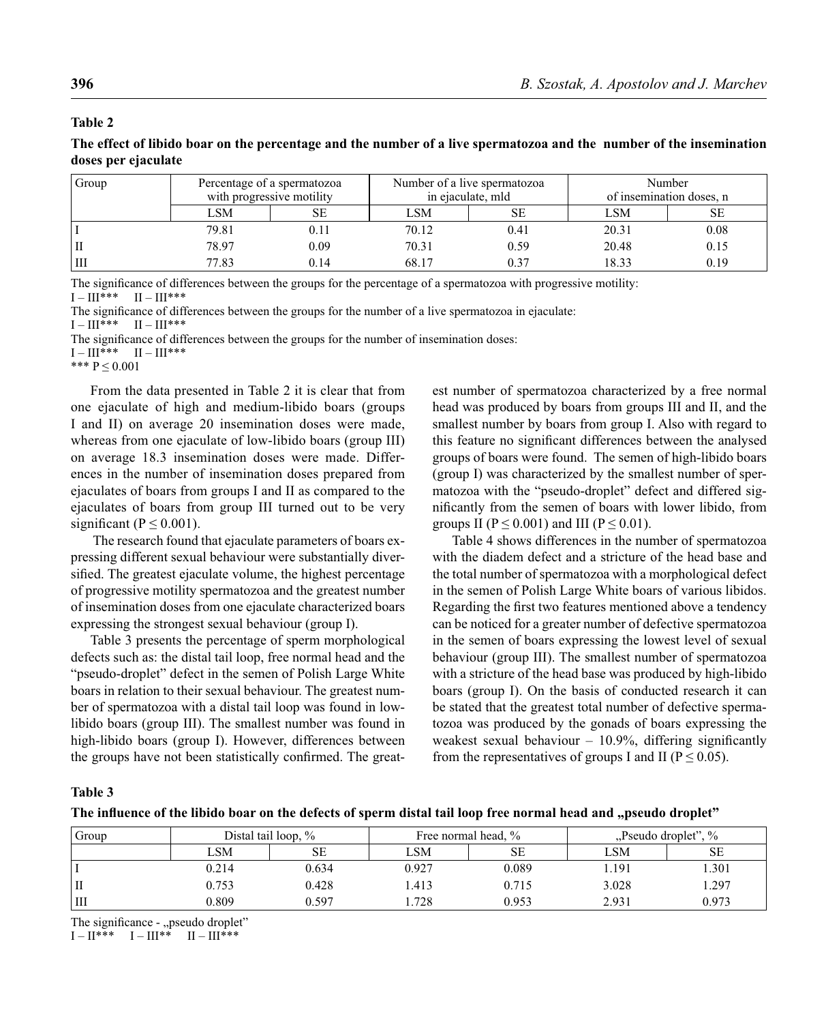#### **Table 2**

**The effect of libido boar on the percentage and the number of a live spermatozoa and the number of the insemination doses per ejaculate**

| Group | Percentage of a spermatozoa<br>with progressive motility |           |       | Number of a live spermatozoa<br>in ejaculate, mld | Number<br>of insemination doses, n |      |
|-------|----------------------------------------------------------|-----------|-------|---------------------------------------------------|------------------------------------|------|
|       | LSM                                                      | <b>SE</b> | LSM   | SЕ                                                | <b>LSM</b>                         | SE   |
|       | 79.81                                                    | 0.11      | 70.12 | 0.41                                              | 20.31                              | 0.08 |
|       | 78.97                                                    | 0.09      | 70.31 | 0.59                                              | 20.48                              | 0.15 |
| lШ    | 77.83                                                    | 0.14      | 68.17 | 0.37                                              | 18.33                              | 0.19 |

The significance of differences between the groups for the percentage of a spermatozoa with progressive motility:<br> $I - III^{***}$   $II - III^{***}$  $I - III***$ 

The significance of differences between the groups for the number of a live spermatozoa in ejaculate:

 $I - III***$   $II - III***$ 

The significance of differences between the groups for the number of insemination doses:

 $I - III***$   $II - III***$ 

\*\*\*  $P \le 0.001$ 

From the data presented in Table 2 it is clear that from one ejaculate of high and medium-libido boars (groups I and II) on average 20 insemination doses were made, whereas from one ejaculate of low-libido boars (group III) on average 18.3 insemination doses were made. Differences in the number of insemination doses prepared from ejaculates of boars from groups I and II as compared to the ejaculates of boars from group III turned out to be very significant ( $P \le 0.001$ ).

 The research found that ejaculate parameters of boars expressing different sexual behaviour were substantially diversified. The greatest ejaculate volume, the highest percentage of progressive motility spermatozoa and the greatest number of insemination doses from one ejaculate characterized boars expressing the strongest sexual behaviour (group I).

Table 3 presents the percentage of sperm morphological defects such as: the distal tail loop, free normal head and the "pseudo-droplet" defect in the semen of Polish Large White boars in relation to their sexual behaviour. The greatest number of spermatozoa with a distal tail loop was found in lowlibido boars (group III). The smallest number was found in high-libido boars (group I). However, differences between the groups have not been statistically confirmed. The greatest number of spermatozoa characterized by a free normal head was produced by boars from groups III and II, and the smallest number by boars from group I. Also with regard to this feature no significant differences between the analysed groups of boars were found. The semen of high-libido boars (group I) was characterized by the smallest number of spermatozoa with the "pseudo-droplet" defect and differed significantly from the semen of boars with lower libido, from groups II ( $P \le 0.001$ ) and III ( $P \le 0.01$ ).

Table 4 shows differences in the number of spermatozoa with the diadem defect and a stricture of the head base and the total number of spermatozoa with a morphological defect in the semen of Polish Large White boars of various libidos. Regarding the first two features mentioned above a tendency can be noticed for a greater number of defective spermatozoa in the semen of boars expressing the lowest level of sexual behaviour (group III). The smallest number of spermatozoa with a stricture of the head base was produced by high-libido boars (group I). On the basis of conducted research it can be stated that the greatest total number of defective spermatozoa was produced by the gonads of boars expressing the weakest sexual behaviour  $-10.9\%$ , differing significantly from the representatives of groups I and II ( $P \le 0.05$ ).

**Table 3** 

|  |  | The influence of the libido boar on the defects of sperm distal tail loop free normal head and "pseudo droplet" |
|--|--|-----------------------------------------------------------------------------------------------------------------|
|  |  |                                                                                                                 |

| Group | Distal tail loop, $\%$ |       |       | Free normal head, % | Pseudo droplet", % |       |
|-------|------------------------|-------|-------|---------------------|--------------------|-------|
|       | LSM                    | SЕ    | LSM   | SE                  | LSM                | SE    |
|       | 0.214                  | 0.634 | 0.927 | 0.089               | 1.191              | 1.301 |
| П     | 0.753                  | 0.428 | .413  | 0.715               | 3.028              | .297  |
| ΙII   | 0.809                  | 0.597 | 1.728 | 0.953               | 2.931              | 0.973 |

The significance - "pseudo droplet"

 $I - II^{***}$   $I - III^{**}$   $II - III^{***}$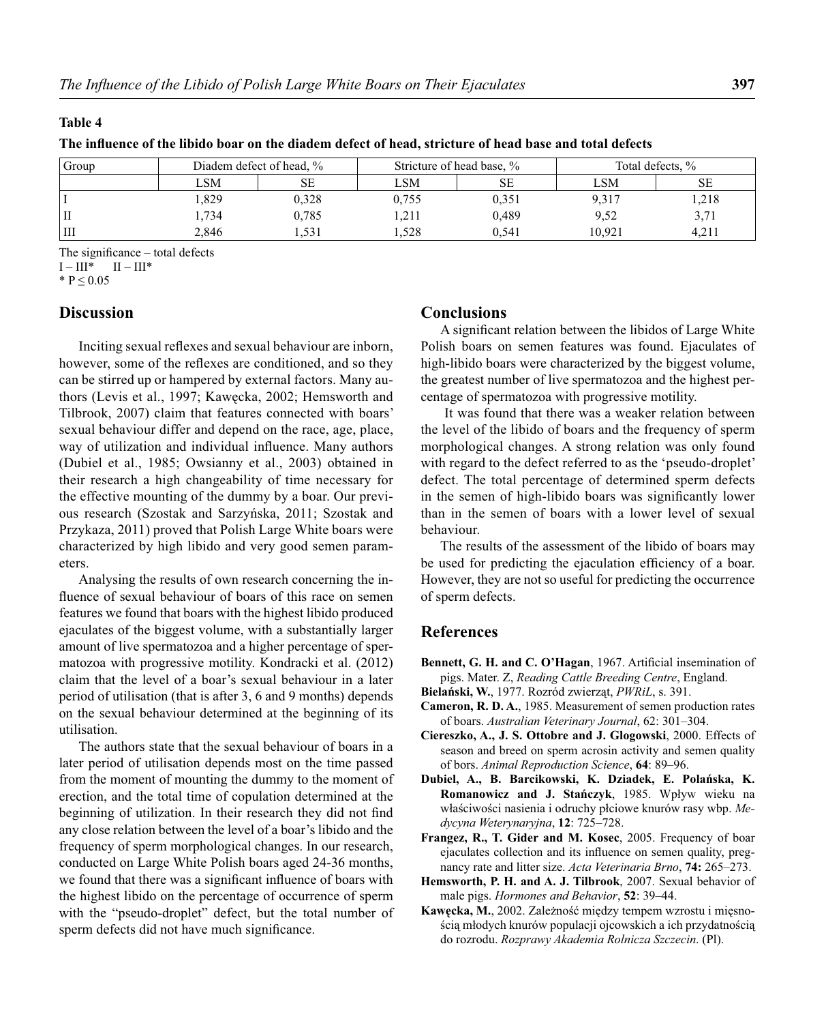#### **Table 4**

| The influence of the libido boar on the diadem defect of head, stricture of head base and total defects |
|---------------------------------------------------------------------------------------------------------|
|---------------------------------------------------------------------------------------------------------|

| Group | Diadem defect of head, % |           | Stricture of head base, % |       | Total defects, % |       |
|-------|--------------------------|-----------|---------------------------|-------|------------------|-------|
|       | LSM                      | <b>SE</b> | LSM                       | SE    | LSM              | SЕ    |
|       | .829                     | 0.328     | 0.755                     | 0.351 | 9,317            | .218  |
| П     | 1.734                    | 0.785     | .211                      | 0.489 | 9,52             | 3,71  |
| Ш     | 2.846                    | 1.531     | .528                      | 0.541 | 10.921           | 4.211 |

The significance  $-$  total defects

 $I - III^*$   $II - III^*$ 

\*  $P \le 0.05$ 

## **Discussion**

Inciting sexual reflexes and sexual behaviour are inborn, however, some of the reflexes are conditioned, and so they can be stirred up or hampered by external factors. Many authors (Levis et al., 1997; Kawęcka, 2002; Hemsworth and Tilbrook, 2007) claim that features connected with boars' sexual behaviour differ and depend on the race, age, place, way of utilization and individual influence. Many authors (Dubiel et al., 1985; Owsianny et al., 2003) obtained in their research a high changeability of time necessary for the effective mounting of the dummy by a boar. Our previous research (Szostak and Sarzyńska, 2011; Szostak and Przykaza, 2011) proved that Polish Large White boars were characterized by high libido and very good semen parameters.

Analysing the results of own research concerning the influence of sexual behaviour of boars of this race on semen features we found that boars with the highest libido produced ejaculates of the biggest volume, with a substantially larger amount of live spermatozoa and a higher percentage of spermatozoa with progressive motility. Kondracki et al. (2012) claim that the level of a boar's sexual behaviour in a later period of utilisation (that is after 3, 6 and 9 months) depends on the sexual behaviour determined at the beginning of its utilisation.

The authors state that the sexual behaviour of boars in a later period of utilisation depends most on the time passed from the moment of mounting the dummy to the moment of erection, and the total time of copulation determined at the beginning of utilization. In their research they did not find any close relation between the level of a boar's libido and the frequency of sperm morphological changes. In our research, conducted on Large White Polish boars aged 24-36 months, we found that there was a significant influence of boars with the highest libido on the percentage of occurrence of sperm with the "pseudo-droplet" defect, but the total number of sperm defects did not have much significance.

## **Conclusions**

A significant relation between the libidos of Large White Polish boars on semen features was found. Ejaculates of high-libido boars were characterized by the biggest volume, the greatest number of live spermatozoa and the highest percentage of spermatozoa with progressive motility.

 It was found that there was a weaker relation between the level of the libido of boars and the frequency of sperm morphological changes. A strong relation was only found with regard to the defect referred to as the 'pseudo-droplet' defect. The total percentage of determined sperm defects in the semen of high-libido boars was significantly lower than in the semen of boars with a lower level of sexual behaviour.

The results of the assessment of the libido of boars may be used for predicting the ejaculation efficiency of a boar. However, they are not so useful for predicting the occurrence of sperm defects.

## **References**

- Bennett, G. H. and C. O'Hagan, 1967. Artificial insemination of pigs. Mater. Z, *Reading Cattle Breeding Centre*, England.
- **Bielański, W.**, 1977. Rozród zwierząt, *PWRiL*, s. 391.
- **Cameron, R. D. A.**, 1985. Measurement of semen production rates of boars. *Australian Veterinary Journal*, 62: 301–304.
- **Ciereszko, A., J. S. Ottobre and J. Glogowski**, 2000. Effects of season and breed on sperm acrosin activity and semen quality of bors. *Animal Reproduction Science*, **64**: 89–96.
- **Dubiel, A., B. Barcikowski, K. Dziadek, E. Polańska, K. Romanowicz and J. Stańczyk**, 1985. Wpływ wieku na właściwości nasienia i odruchy płciowe knurów rasy wbp. *Medycyna Weterynaryjna*, **12**: 725–728.
- **Frangez, R., T. Gider and M. Kosec**, 2005. Frequency of boar ejaculates collection and its influence on semen quality, pregnancy rate and litter size. *Acta Veterinaria Brno*, **74:** 265–273.
- **Hemsworth, P. H. and A. J. Tilbrook**, 2007. Sexual behavior of male pigs. *Hormones and Behavior*, **52**: 39–44.
- **Kawęcka, M.**, 2002. Zależność między tempem wzrostu i mięsnością młodych knurów populacji ojcowskich a ich przydatnością do rozrodu. *Rozprawy Akademia Rolnicza Szczecin*. (Pl).